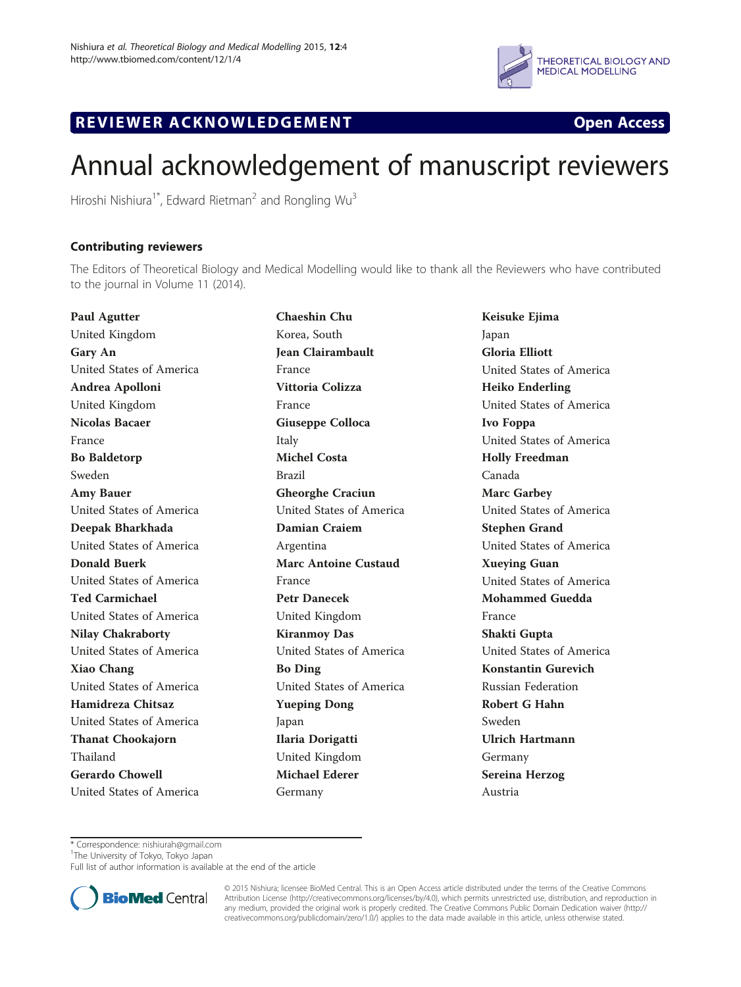

## R EVI EW E R ACKNOW L EDG EM EN T Open Access



# Annual acknowledgement of manuscript reviewers

Hiroshi Nishiura<sup>1\*</sup>, Edward Rietman<sup>2</sup> and Rongling Wu<sup>3</sup>

## Contributing reviewers

The Editors of Theoretical Biology and Medical Modelling would like to thank all the Reviewers who have contributed to the journal in Volume 11 (2014).

Paul Agutter United Kingdom Gary An United States of America Andrea Apolloni United Kingdom Nicolas Bacaer France Bo Baldetorp Sweden Amy Bauer United States of America Deepak Bharkhada United States of America Donald Buerk United States of America Ted Carmichael United States of America Nilay Chakraborty United States of America Xiao Chang United States of America Hamidreza Chitsaz United States of America Thanat Chookajorn Thailand Gerardo Chowell United States of America Chaeshin Chu Korea, South Jean Clairambault France Vittoria Colizza France Giuseppe Colloca Italy Michel Costa Brazil Gheorghe Craciun United States of America Damian Craiem Argentina Marc Antoine Custaud France Petr Danecek United Kingdom Kiranmoy Das United States of America Bo Ding United States of America Yueping Dong Japan Ilaria Dorigatti United Kingdom Michael Ederer Germany

Keisuke Ejima Japan Gloria Elliott United States of America Heiko Enderling United States of America Ivo Foppa United States of America Holly Freedman Canada Marc Garbey United States of America Stephen Grand United States of America Xueying Guan United States of America Mohammed Guedda France Shakti Gupta United States of America Konstantin Gurevich Russian Federation Robert G Hahn Sweden Ulrich Hartmann Germany Sereina Herzog Austria

\* Correspondence: [nishiurah@gmail.com](mailto:nishiurah@gmail.com) <sup>1</sup>

<sup>1</sup>The University of Tokyo, Tokyo Japan

Full list of author information is available at the end of the article



© 2015 Nishiura; licensee BioMed Central. This is an Open Access article distributed under the terms of the Creative Commons Attribution License (<http://creativecommons.org/licenses/by/4.0>), which permits unrestricted use, distribution, and reproduction in any medium, provided the original work is properly credited. The Creative Commons Public Domain Dedication waiver [\(http://](http://creativecommons.org/publicdomain/zero/1.0/) [creativecommons.org/publicdomain/zero/1.0/\)](http://creativecommons.org/publicdomain/zero/1.0/) applies to the data made available in this article, unless otherwise stated.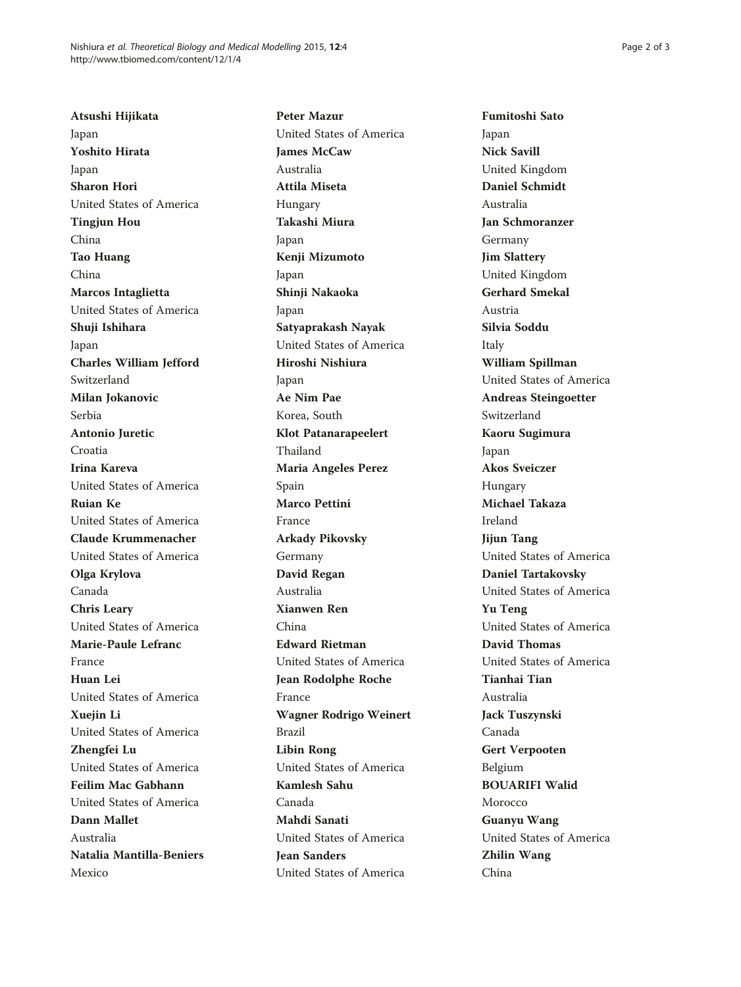Atsushi Hijikata Japan Yoshito Hirata Japan Sharon Hori United States of America Tingjun Hou China Tao Huang China Marcos Intaglietta United States of America Shuji Ishihara Japan Charles William Jefford Switzerland Milan Jokanovic Serbia Antonio Juretic Croatia Irina Kareva United States of America Ruian Ke United States of America Claude Krummenacher United States of America Olga Krylova Canada Chris Leary United States of America Marie-Paule Lefranc France Huan Lei United States of America Xuejin Li United States of America Zhengfei Lu United States of America Feilim Mac Gabhann United States of America Dann Mallet Australia Natalia Mantilla-Beniers Mexico

Peter Mazur United States of America James McCaw Australia Attila Miseta Hungary Takashi Miura Japan Kenji Mizumoto Japan Shinji Nakaoka Japan Satyaprakash Nayak United States of America Hiroshi Nishiura Japan Ae Nim Pae Korea, South Klot Patanarapeelert Thailand Maria Angeles Perez Spain Marco Pettini France Arkady Pikovsky Germany David Regan Australia Xianwen Ren China Edward Rietman United States of America Jean Rodolphe Roche France Wagner Rodrigo Weinert Brazil Libin Rong United States of America Kamlesh Sahu Canada Mahdi Sanati United States of America Jean Sanders United States of America

Fumitoshi Sato Japan Nick Savill United Kingdom Daniel Schmidt Australia Jan Schmoranzer Germany Jim Slattery United Kingdom Gerhard Smekal Austria Silvia Soddu Italy William Spillman United States of America Andreas Steingoetter Switzerland Kaoru Sugimura Japan Akos Sveiczer Hungary Michael Takaza Ireland Jijun Tang United States of America Daniel Tartakovsky United States of America Yu Teng United States of America David Thomas United States of America Tianhai Tian Australia Jack Tuszynski Canada Gert Verpooten Belgium BOUARIFI Walid Morocco Guanyu Wang United States of America Zhilin Wang China